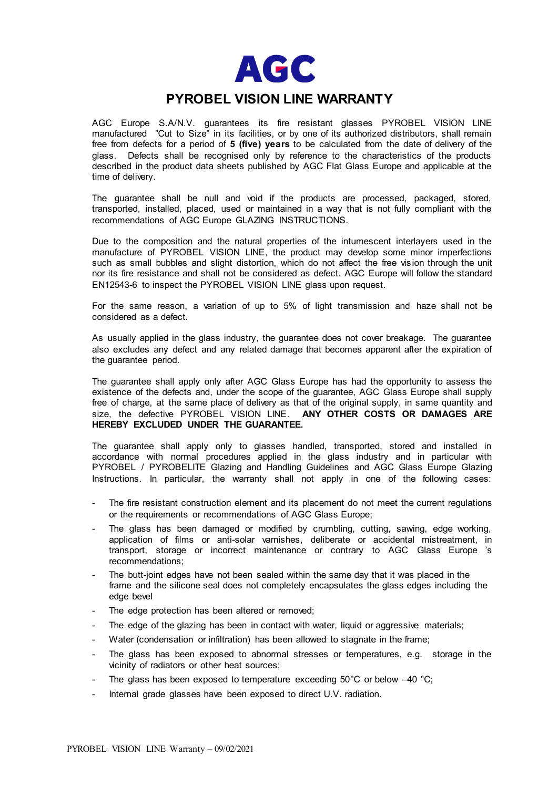

## **PYROBEL VISION LINE WARRANTY**

AGC Europe S.A/N.V. guarantees its fire resistant glasses PYROBEL VISION LINE manufactured "Cut to Size" in its facilities, or by one of its authorized distributors, shall remain free from defects for a period of **5 (five) years** to be calculated from the date of delivery of the glass. Defects shall be recognised only by reference to the characteristics of the products described in the product data sheets published by AGC Flat Glass Europe and applicable at the time of delivery.

The guarantee shall be null and void if the products are processed, packaged, stored, transported, installed, placed, used or maintained in a way that is not fully compliant with the recommendations of AGC Europe GLAZING INSTRUCTIONS.

Due to the composition and the natural properties of the intumescent interlayers used in the manufacture of PYROBEL VISION LINE, the product may develop some minor imperfections such as small bubbles and slight distortion, which do not affect the free vision through the unit nor its fire resistance and shall not be considered as defect. AGC Europe will follow the standard EN12543-6 to inspect the PYROBEL VISION LINE glass upon request.

For the same reason, a variation of up to 5% of light transmission and haze shall not be considered as a defect.

As usually applied in the glass industry, the guarantee does not cover breakage. The guarantee also excludes any defect and any related damage that becomes apparent after the expiration of the guarantee period.

The guarantee shall apply only after AGC Glass Europe has had the opportunity to assess the existence of the defects and, under the scope of the guarantee, AGC Glass Europe shall supply free of charge, at the same place of delivery as that of the original supply, in same quantity and size, the defective PYROBEL VISION LINE. **ANY OTHER COSTS OR DAMAGES ARE HEREBY EXCLUDED UNDER THE GUARANTEE.** 

The guarantee shall apply only to glasses handled, transported, stored and installed in accordance with normal procedures applied in the glass industry and in particular with PYROBEL / PYROBELITE Glazing and Handling Guidelines and AGC Glass Europe Glazing Instructions. In particular, the warranty shall not apply in one of the following cases:

- The fire resistant construction element and its placement do not meet the current regulations or the requirements or recommendations of AGC Glass Europe;
- The glass has been damaged or modified by crumbling, cutting, sawing, edge working, application of films or anti-solar varnishes, deliberate or accidental mistreatment, in transport, storage or incorrect maintenance or contrary to AGC Glass Europe 's recommendations;
- The butt-joint edges have not been sealed within the same day that it was placed in the frame and the silicone seal does not completely encapsulates the glass edges including the edge bevel
- The edge protection has been altered or removed;
- The edge of the glazing has been in contact with water, liquid or aggressive materials;
- Water (condensation or infiltration) has been allowed to stagnate in the frame;
- The glass has been exposed to abnormal stresses or temperatures, e.g. storage in the vicinity of radiators or other heat sources;
- The glass has been exposed to temperature exceeding  $50^{\circ}$ C or below  $-40^{\circ}$ C;
- Internal grade glasses have been exposed to direct U.V. radiation.